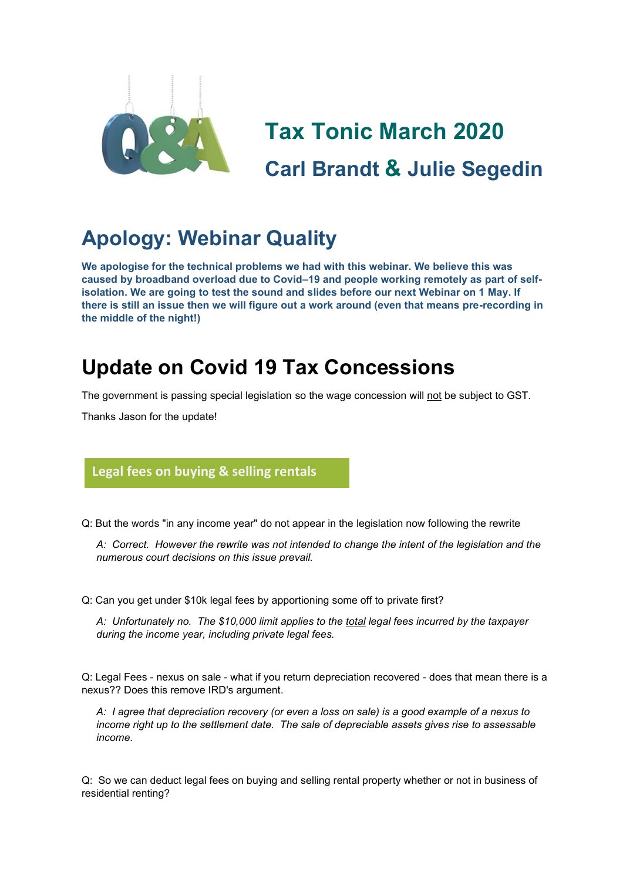

# **Tax Tonic March 2020 Carl Brandt & Julie Segedin**

# **Apology: Webinar Quality**

**We apologise for the technical problems we had with this webinar. We believe this was caused by broadband overload due to Covid–19 and people working remotely as part of selfisolation. We are going to test the sound and slides before our next Webinar on 1 May. If there is still an issue then we will figure out a work around (even that means pre-recording in the middle of the night!)**

# **Update on Covid 19 Tax Concessions**

The government is passing special legislation so the wage concession will not be subject to GST.

Thanks Jason for the update!

## **Legal fees on buying & selling rentals**

Q: But the words "in any income year" do not appear in the legislation now following the rewrite

*A: Correct. However the rewrite was not intended to change the intent of the legislation and the numerous court decisions on this issue prevail.*

Q: Can you get under \$10k legal fees by apportioning some off to private first?

*A: Unfortunately no. The \$10,000 limit applies to the total legal fees incurred by the taxpayer during the income year, including private legal fees.*

Q: Legal Fees - nexus on sale - what if you return depreciation recovered - does that mean there is a nexus?? Does this remove IRD's argument.

*A: I agree that depreciation recovery (or even a loss on sale) is a good example of a nexus to income right up to the settlement date. The sale of depreciable assets gives rise to assessable income.* 

Q: So we can deduct legal fees on buying and selling rental property whether or not in business of residential renting?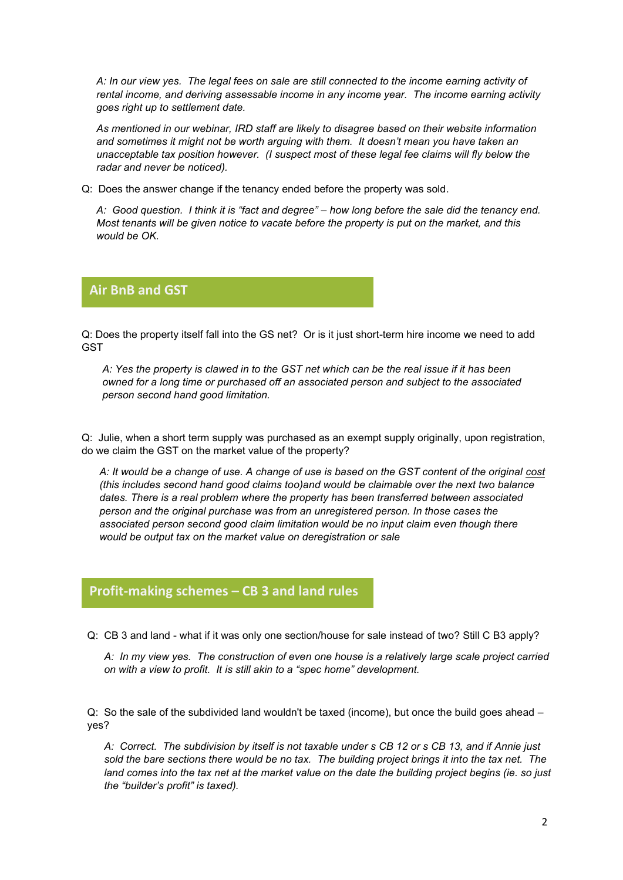*A: In our view yes. The legal fees on sale are still connected to the income earning activity of rental income, and deriving assessable income in any income year. The income earning activity goes right up to settlement date.*

*As mentioned in our webinar, IRD staff are likely to disagree based on their website information and sometimes it might not be worth arguing with them. It doesn't mean you have taken an unacceptable tax position however. (I suspect most of these legal fee claims will fly below the radar and never be noticed).*

Q: Does the answer change if the tenancy ended before the property was sold.

*A: Good question. I think it is "fact and degree" – how long before the sale did the tenancy end. Most tenants will be given notice to vacate before the property is put on the market, and this would be OK.*

#### **Air BnB and GST**

Q: Does the property itself fall into the GS net? Or is it just short-term hire income we need to add GST

*A: Yes the property is clawed in to the GST net which can be the real issue if it has been owned for a long time or purchased off an associated person and subject to the associated person second hand good limitation.*

Q: Julie, when a short term supply was purchased as an exempt supply originally, upon registration, do we claim the GST on the market value of the property?

*A: It would be a change of use. A change of use is based on the GST content of the original cost (this includes second hand good claims too)and would be claimable over the next two balance dates. There is a real problem where the property has been transferred between associated person and the original purchase was from an unregistered person. In those cases the associated person second good claim limitation would be no input claim even though there would be output tax on the market value on deregistration or sale*

### **Profit-making schemes – CB 3 and land rules**

Q: CB 3 and land - what if it was only one section/house for sale instead of two? Still C B3 apply? **glorio**

*A: In my view yes. The construction of even one house is a relatively large scale project carried on with a view to profit. It is still akin to a "spec home" development.*

Q: So the sale of the subdivided land wouldn't be taxed (income), but once the build goes ahead – yes?

*A: Correct. The subdivision by itself is not taxable under s CB 12 or s CB 13, and if Annie just sold the bare sections there would be no tax. The building project brings it into the tax net. The land comes into the tax net at the market value on the date the building project begins (ie. so just the "builder's profit" is taxed).*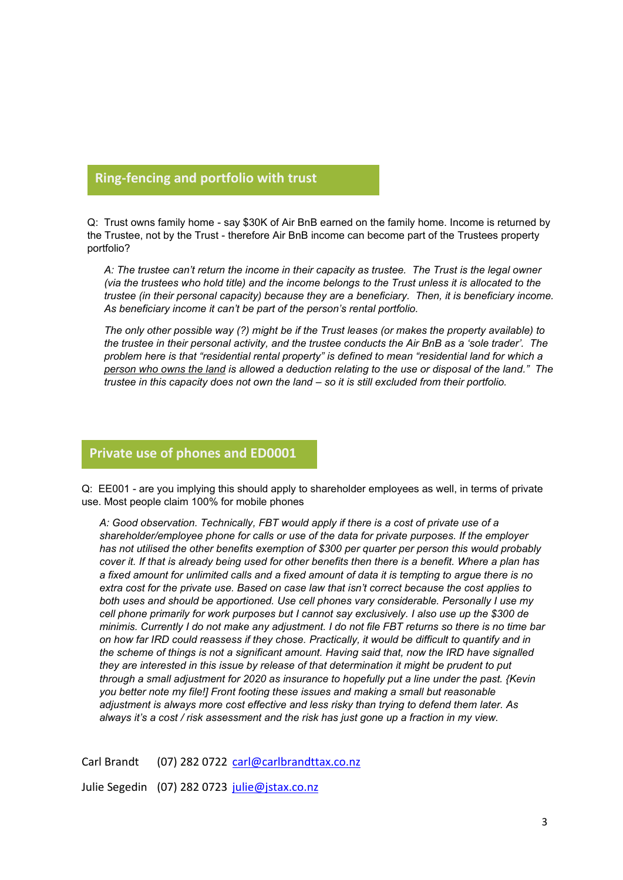#### **Ring-fencing and portfolio with trust**

Q: Trust owns family home - say \$30K of Air BnB earned on the family home. Income is returned by **glorio**the Trustee, not by the Trust - therefore Air BnB income can become part of the Trustees property portfolio?

*A: The trustee can't return the income in their capacity as trustee. The Trust is the legal owner (via the trustees who hold title) and the income belongs to the Trust unless it is allocated to the trustee (in their personal capacity) because they are a beneficiary. Then, it is beneficiary income. As beneficiary income it can't be part of the person's rental portfolio.*

*The only other possible way (?) might be if the Trust leases (or makes the property available) to the trustee in their personal activity, and the trustee conducts the Air BnB as a 'sole trader'. The problem here is that "residential rental property" is defined to mean "residential land for which a person who owns the land is allowed a deduction relating to the use or disposal of the land." The trustee in this capacity does not own the land – so it is still excluded from their portfolio.*

### **Private use of phones and ED0001**

Q: EE001 - are you implying this should apply to shareholder employees as well, in terms of private use. Most people claim 100% for mobile phones

*A: Good observation. Technically, FBT would apply if there is a cost of private use of a shareholder/employee phone for calls or use of the data for private purposes. If the employer has not utilised the other benefits exemption of \$300 per quarter per person this would probably cover it. If that is already being used for other benefits then there is a benefit. Where a plan has a fixed amount for unlimited calls and a fixed amount of data it is tempting to argue there is no extra cost for the private use. Based on case law that isn't correct because the cost applies to both uses and should be apportioned. Use cell phones vary considerable. Personally I use my cell phone primarily for work purposes but I cannot say exclusively. I also use up the \$300 de minimis. Currently I do not make any adjustment. I do not file FBT returns so there is no time bar on how far IRD could reassess if they chose. Practically, it would be difficult to quantify and in the scheme of things is not a significant amount. Having said that, now the IRD have signalled they are interested in this issue by release of that determination it might be prudent to put through a small adjustment for 2020 as insurance to hopefully put a line under the past. {Kevin you better note my file!] Front footing these issues and making a small but reasonable adjustment is always more cost effective and less risky than trying to defend them later. As always it's a cost / risk assessment and the risk has just gone up a fraction in my view.*

Carl Brandt (07) 282 0722 [carl@carlbrandttax.co.nz](mailto:carl@carlbrandttax.co.nz)

Julie Segedin (07) 282 0723 [julie@jstax.co.nz](mailto:julie@jstax.co.nz)